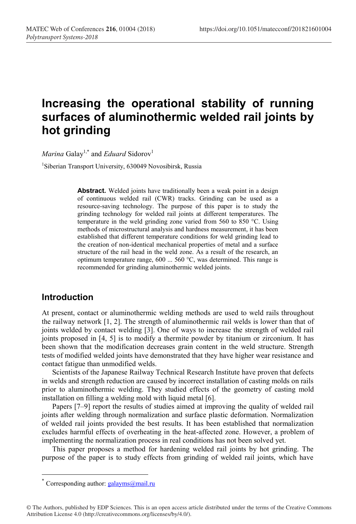# **Increasing the operational stability of running surfaces of aluminothermiс welded rail joints by hot grinding**

*Marina* Galay<sup>1,\*</sup> and *Eduard* Sidorov<sup>1</sup>

1 Siberian Transport University, 630049 Novosibirsk, Russia

Abstract. Welded joints have traditionally been a weak point in a design of continuous welded rail (CWR) tracks. Grinding can be used as a resource-saving technology. The purpose of this paper is to study the grinding technology for welded rail joints at different temperatures. The temperature in the weld grinding zone varied from 560 to 850 °С. Using methods of microstructural analysis and hardness measurement, it has been established that different temperature conditions for weld grinding lead to the creation of non-identical mechanical properties of metal and a surface structure of the rail head in the weld zone. As a result of the research, an optimum temperature range, 600 ... 560 °C, was determined. This range is recommended for grinding aluminothermic welded joints.

#### **Introduction**

At present, contact or aluminothermic welding methods are used to weld rails throughout the railway network [1, 2]. The strength of aluminothermic rail welds is lower than that of joints welded by contact welding [3]. One of ways to increase the strength of welded rail joints proposed in [4, 5] is to modify a thermite powder by titanium or zirconium. It has been shown that the modification decreases grain content in the weld structure. Strength tests of modified welded joints have demonstrated that they have higher wear resistance and contact fatigue than unmodified welds.

Scientists of the Japanese Railway Technical Research Institute have proven that defects in welds and strength reduction are caused by incorrect installation of casting molds on rails prior to aluminothermic welding. They studied effects of the geometry of casting mold installation on filling a welding mold with liquid metal [6].

Papers [7–9] report the results of studies aimed at improving the quality of welded rail joints after welding through normalization and surface plastic deformation. Normalization of welded rail joints provided the best results. It has been established that normalization excludes harmful effects of overheating in the heat-affected zone. However, a problem of implementing the normalization process in real conditions has not been solved yet.

This paper proposes a method for hardening welded rail joints by hot grinding. The purpose of the paper is to study effects from grinding of welded rail joints, which have

<sup>\*</sup> Corresponding author:  $\frac{galayms}{A}$ mail.ru

<sup>©</sup> The Authors, published by EDP Sciences. This is an open access article distributed under the terms of the Creative Commons Attribution License 4.0 (http://creativecommons.org/licenses/by/4.0/).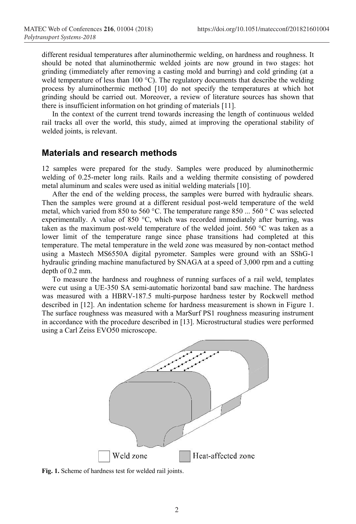different residual temperatures after aluminothermic welding, on hardness and roughness. It should be noted that aluminothermic welded joints are now ground in two stages: hot grinding (immediately after removing a casting mold and burring) and cold grinding (at a weld temperature of less than 100 °C). The regulatory documents that describe the welding process by aluminothermic method [10] do not specify the temperatures at which hot grinding should be carried out. Moreover, a review of literature sources has shown that there is insufficient information on hot grinding of materials [11].

In the context of the current trend towards increasing the length of continuous welded rail tracks all over the world, this study, aimed at improving the operational stability of welded joints, is relevant.

#### **Materials and research methods**

12 samples were prepared for the study. Samples were produced by aluminothermic welding of 0.25-meter long rails. Rails and a welding thermite consisting of powdered metal aluminum and scales were used as initial welding materials [10].

After the end of the welding process, the samples were burred with hydraulic shears. Then the samples were ground at a different residual post-weld temperature of the weld metal, which varied from 850 to 560 °C. The temperature range 850  $\ldots$  560 ° C was selected experimentally. A value of 850 °C, which was recorded immediately after burring, was taken as the maximum post-weld temperature of the welded joint. 560 °C was taken as a lower limit of the temperature range since phase transitions had completed at this temperature. The metal temperature in the weld zone was measured by non-contact method using a Mastech MS6550A digital pyrometer. Samples were ground with an SShG-1 hydraulic grinding machine manufactured by SNAGA at a speed of 3,000 rpm and a cutting depth of 0.2 mm.

To measure the hardness and roughness of running surfaces of a rail weld, templates were cut using a UE-350 SA semi-automatic horizontal band saw machine. The hardness was measured with a HBRV-187.5 multi-purpose hardness tester by Rockwell method described in [12]. An indentation scheme for hardness measurement is shown in Figure 1. The surface roughness was measured with a MarSurf PS1 roughness measuring instrument in accordance with the procedure described in [13]. Microstructural studies were performed using a Carl Zeiss EVO50 microscope.



**Fig. 1.** Scheme of hardness test for welded rail joints.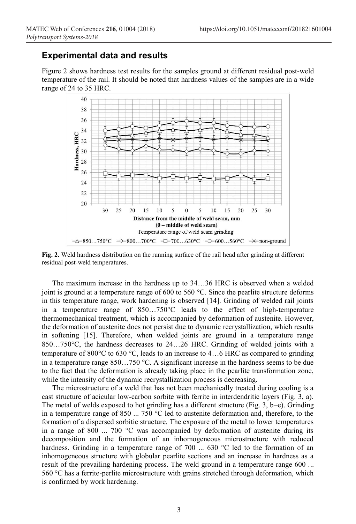### **Experimental data and results**

Figure 2 shows hardness test results for the samples ground at different residual post-weld temperature of the rail. It should be noted that hardness values of the samples are in a wide range of 24 to 35 HRC.



**Fig. 2.** Weld hardness distribution on the running surface of the rail head after grinding at different residual post-weld temperatures.

The maximum increase in the hardness up to 34…36 HRC is observed when a welded joint is ground at a temperature range of 600 to 560  $^{\circ}$ C. Since the pearlite structure deforms in this temperature range, work hardening is observed [14]. Grinding of welded rail joints in a temperature range of  $850...750^{\circ}$  leads to the effect of high-temperature thermomechanical treatment, which is accompanied by deformation of austenite. However, the deformation of austenite does not persist due to dynamic recrystallization, which results in softening [15]. Therefore, when welded joints are ground in a temperature range 850…750 $^{\circ}$ C, the hardness decreases to 24…26 HRC. Grinding of welded joints with a temperature of 800 $^{\circ}$ C to 630  $^{\circ}$ C, leads to an increase to 4...6 HRC as compared to grinding in a temperature range  $850...750$  °C. A significant increase in the hardness seems to be due to the fact that the deformation is already taking place in the pearlite transformation zone, while the intensity of the dynamic recrystallization process is decreasing.

The microstructure of a weld that has not been mechanically treated during cooling is a cast structure of acicular low-carbon sorbite with ferrite in interdendritic layers (Fig. 3, a). The metal of welds exposed to hot grinding has a different structure (Fig. 3, b–e). Grinding in a temperature range of 850 ... 750 °C led to austenite deformation and, therefore, to the formation of a dispersed sorbitic structure. The exposure of the metal to lower temperatures in a range of 800  $\ldots$  700 °C was accompanied by deformation of austenite during its decomposition and the formation of an inhomogeneous microstructure with reduced hardness. Grinding in a temperature range of 700 ... 630 °C led to the formation of an inhomogeneous structure with globular pearlite sections and an increase in hardness as a result of the prevailing hardening process. The weld ground in a temperature range 600 ... 560 °C has a ferrite-perlite microstructure with grains stretched through deformation, which is confirmed by work hardening.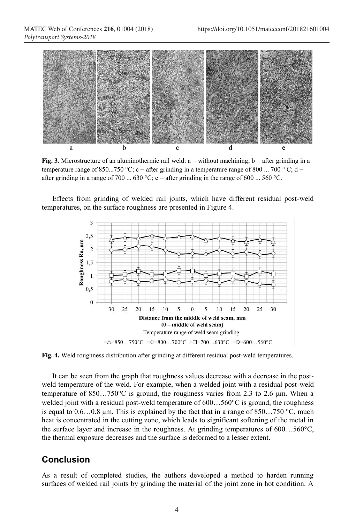*Polytransport Systems-2018*



**Fig.** 3. Microstructure of an aluminothermic rail weld: a – without machining; b – after grinding in a temperature range of 850...750 °C; c – after grinding in a temperature range of 800 ... 700 °C; d – after grinding in a range of 700 ... 630 °C; e – after grinding in the range of 600 ... 560 °C.

Effects from grinding of welded rail joints, which have different residual post-weld temperatures, on the surface roughness are presented in Figure 4.



**Fig. 4.** Weld roughness distribution after grinding at different residual post-weld temperatures.

It can be seen from the graph that roughness values decrease with a decrease in the postweld temperature of the weld. For example, when a welded joint with a residual post-weld temperature of  $850...750^{\circ}$ C is ground, the roughness varies from 2.3 to 2.6 µm. When a welded joint with a residual post-weld temperature of  $600...560^{\circ}$ C is ground, the roughness is equal to  $0.6...0.8$  μm. This is explained by the fact that in a range of  $850...750$  °C, much heat is concentrated in the cutting zone, which leads to significant softening of the metal in the surface layer and increase in the roughness. At grinding temperatures of  $600...560^{\circ}$ C, the thermal exposure decreases and the surface is deformed to a lesser extent.

#### **Conclusion**

As a result of completed studies, the authors developed a method to harden running surfaces of welded rail joints by grinding the material of the joint zone in hot condition. A